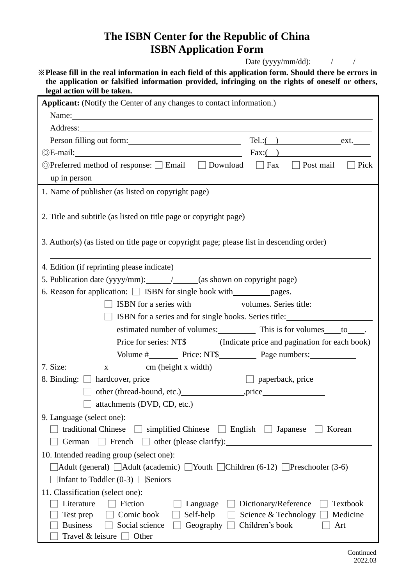## **The ISBN Center for the Republic of China ISBN Application Form**

Date (yyyy/mm/dd):  $\frac{1}{2}$  /

|  |                             | X Please fill in the real information in each field of this application form. Should there be errors in |  |  |  |  |
|--|-----------------------------|---------------------------------------------------------------------------------------------------------|--|--|--|--|
|  |                             | the application or falsified information provided, infringing on the rights of oneself or others,       |  |  |  |  |
|  | legal action will be taken. |                                                                                                         |  |  |  |  |

| Applicant: (Notify the Center of any changes to contact information.)                                                                                                                                                                |  |  |  |  |  |  |  |  |  |
|--------------------------------------------------------------------------------------------------------------------------------------------------------------------------------------------------------------------------------------|--|--|--|--|--|--|--|--|--|
| Name: Name and the set of the set of the set of the set of the set of the set of the set of the set of the set of the set of the set of the set of the set of the set of the set of the set of the set of the set of the set o       |  |  |  |  |  |  |  |  |  |
|                                                                                                                                                                                                                                      |  |  |  |  |  |  |  |  |  |
| Person filling out form: <u>contained a set of the set of the set of the set of the set of the set of the set of the set of the set of the set of the set of the set of the set of the set of the set of the set of the set of t</u> |  |  |  |  |  |  |  |  |  |
| $\odot$ E-mail: $\qquad \qquad$ Fax: $\qquad \qquad$ Fax: $\qquad \qquad$ Fax:                                                                                                                                                       |  |  |  |  |  |  |  |  |  |
| ©Preferred method of response: [ Email   Download   Fax   Post mail   Pick                                                                                                                                                           |  |  |  |  |  |  |  |  |  |
| up in person                                                                                                                                                                                                                         |  |  |  |  |  |  |  |  |  |
| 1. Name of publisher (as listed on copyright page)                                                                                                                                                                                   |  |  |  |  |  |  |  |  |  |
|                                                                                                                                                                                                                                      |  |  |  |  |  |  |  |  |  |
| 2. Title and subtitle (as listed on title page or copyright page)                                                                                                                                                                    |  |  |  |  |  |  |  |  |  |
| 3. Author(s) (as listed on title page or copyright page; please list in descending order)                                                                                                                                            |  |  |  |  |  |  |  |  |  |
| 4. Edition (if reprinting please indicate)                                                                                                                                                                                           |  |  |  |  |  |  |  |  |  |
| 5. Publication date (yyyy/mm): ________________________(as shown on copyright page)                                                                                                                                                  |  |  |  |  |  |  |  |  |  |
|                                                                                                                                                                                                                                      |  |  |  |  |  |  |  |  |  |
| SERIES Series with Series Columns. Series title:                                                                                                                                                                                     |  |  |  |  |  |  |  |  |  |
| <b>SHETER</b> ISBN for a series and for single books. Series title:                                                                                                                                                                  |  |  |  |  |  |  |  |  |  |
| estimated number of volumes: This is for volumes to _____.                                                                                                                                                                           |  |  |  |  |  |  |  |  |  |
| Price for series: NT\$_____________ (Indicate price and pagination for each book)                                                                                                                                                    |  |  |  |  |  |  |  |  |  |
|                                                                                                                                                                                                                                      |  |  |  |  |  |  |  |  |  |
|                                                                                                                                                                                                                                      |  |  |  |  |  |  |  |  |  |
|                                                                                                                                                                                                                                      |  |  |  |  |  |  |  |  |  |
|                                                                                                                                                                                                                                      |  |  |  |  |  |  |  |  |  |
| attachments (DVD, CD, etc.)                                                                                                                                                                                                          |  |  |  |  |  |  |  |  |  |
| 9. Language (select one):                                                                                                                                                                                                            |  |  |  |  |  |  |  |  |  |
| traditional Chinese $\Box$ simplified Chinese $\Box$ English $\Box$ Japanese<br>Korean                                                                                                                                               |  |  |  |  |  |  |  |  |  |
| French $\Box$ other (please clarify): $\Box$<br>German                                                                                                                                                                               |  |  |  |  |  |  |  |  |  |
| 10. Intended reading group (select one):                                                                                                                                                                                             |  |  |  |  |  |  |  |  |  |
| $\Delta$ dult (general) $\Box$ Adult (academic) $\Box$ Youth $\Box$ Children (6-12) $\Box$ Preschooler (3-6)                                                                                                                         |  |  |  |  |  |  |  |  |  |
| Infant to Toddler $(0-3)$ Seniors                                                                                                                                                                                                    |  |  |  |  |  |  |  |  |  |
| 11. Classification (select one):                                                                                                                                                                                                     |  |  |  |  |  |  |  |  |  |
| Fiction<br>Literature<br>Dictionary/Reference<br>Textbook<br>Language                                                                                                                                                                |  |  |  |  |  |  |  |  |  |
| Comic book<br>Self-help<br>Science & Technology<br>Medicine<br>Test prep                                                                                                                                                             |  |  |  |  |  |  |  |  |  |
| Children's book<br><b>Business</b><br>Social science<br>Geography<br>Art<br>Travel $\&$ leisure $\Box$ Other                                                                                                                         |  |  |  |  |  |  |  |  |  |
|                                                                                                                                                                                                                                      |  |  |  |  |  |  |  |  |  |